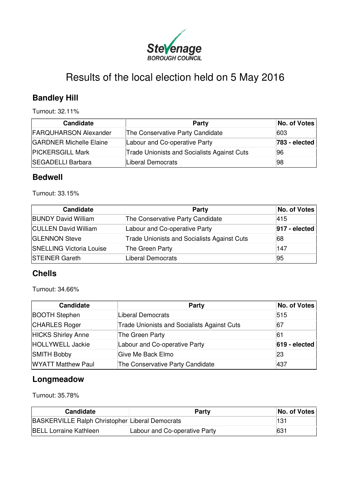

# Results of the local election held on 5 May 2016

# **Bandley Hill**

Turnout: 32.11%

| <b>Candidate</b>               | Party                                              | No. of Votes  |
|--------------------------------|----------------------------------------------------|---------------|
| <b>FARQUHARSON Alexander</b>   | The Conservative Party Candidate                   | 603           |
| <b>GARDNER Michelle Elaine</b> | Labour and Co-operative Party                      | 783 - elected |
| <b>PICKERSGILL Mark</b>        | <b>Trade Unionists and Socialists Against Cuts</b> | 96            |
| <b>SEGADELLI Barbara</b>       | Liberal Democrats                                  | 98            |

#### **Bedwell**

Turnout: 33.15%

| Candidate                       | Party                                              | No. of Votes     |
|---------------------------------|----------------------------------------------------|------------------|
| <b>BUNDY David William</b>      | The Conservative Party Candidate                   | 415              |
| <b>CULLEN David William</b>     | Labour and Co-operative Party                      | $ 917 - \theta $ |
| <b>GLENNON Steve</b>            | <b>Trade Unionists and Socialists Against Cuts</b> | 68               |
| <b>SNELLING Victoria Louise</b> | The Green Party                                    | 147              |
| <b>STEINER Gareth</b>           | Liberal Democrats                                  | 95               |

#### **Chells**

Turnout: 34.66%

| <b>Candidate</b>          | Party                                              | No. of Votes    |
|---------------------------|----------------------------------------------------|-----------------|
| <b>BOOTH Stephen</b>      | Liberal Democrats                                  | 515             |
| <b>CHARLES Roger</b>      | <b>Trade Unionists and Socialists Against Cuts</b> | 67              |
| <b>HICKS Shirley Anne</b> | The Green Party                                    | 61              |
| HOLLYWELL Jackie          | Labour and Co-operative Party                      | $619 - elected$ |
| <b>SMITH Bobby</b>        | Give Me Back Elmo                                  | 23              |
| <b>WYATT Matthew Paul</b> | The Conservative Party Candidate                   | 437             |

## **Longmeadow**

Turnout: 35.78%

| <b>Candidate</b>                                       | Party                         | No. of Votes |
|--------------------------------------------------------|-------------------------------|--------------|
| <b>BASKERVILLE Ralph Christopher Liberal Democrats</b> |                               | 131          |
| <b>BELL Lorraine Kathleen</b>                          | Labour and Co-operative Party | 631          |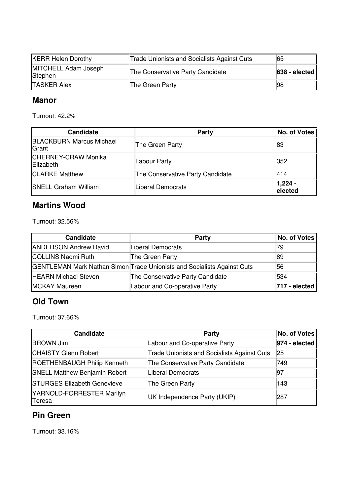| <b>KERR Helen Dorothy</b>       | <b>Trade Unionists and Socialists Against Cuts</b> | 65               |
|---------------------------------|----------------------------------------------------|------------------|
| MITCHELL Adam Joseph<br>Stephen | The Conservative Party Candidate                   | $ 638 - \theta $ |
| <b>TASKER Alex</b>              | The Green Party                                    | ∣98              |

#### **Manor**

Turnout: 42.2%

| <b>Candidate</b>                                | Party                            | <b>No. of Votes</b>   |
|-------------------------------------------------|----------------------------------|-----------------------|
| <b>BLACKBURN Marcus Michael</b><br>Grant        | The Green Party                  | 83                    |
| <b>CHERNEY-CRAW Monika</b><br><b>IElizabeth</b> | Labour Party                     | 352                   |
| <b>CLARKE Matthew</b>                           | The Conservative Party Candidate | 414                   |
| <b>SNELL Graham William</b>                     | <b>Liberal Democrats</b>         | $ 1,224 -$<br>elected |

#### **Martins Wood**

Turnout: 32.56%

| Candidate                    | <b>Party</b>                                                            | No. of Votes             |
|------------------------------|-------------------------------------------------------------------------|--------------------------|
| <b>ANDERSON Andrew David</b> | Liberal Democrats                                                       | 79                       |
| COLLINS Naomi Ruth           | The Green Party                                                         | ∣89                      |
|                              | GENTLEMAN Mark Nathan Simon Trade Unionists and Socialists Against Cuts | 56                       |
| <b>HEARN Michael Steven</b>  | The Conservative Party Candidate                                        | 534                      |
| MCKAY Maureen                | Labour and Co-operative Party                                           | $ 717 - \text{elected} $ |

#### **Old Town**

Turnout: 37.66%

| <b>Candidate</b>                     | Party                                              | No. of Votes  |
|--------------------------------------|----------------------------------------------------|---------------|
| <b>BROWN Jim</b>                     | Labour and Co-operative Party                      | 974 - elected |
| <b>CHAISTY Glenn Robert</b>          | <b>Trade Unionists and Socialists Against Cuts</b> | 25            |
| <b>ROETHENBAUGH Philip Kenneth</b>   | The Conservative Party Candidate                   | 749           |
| <b>SNELL Matthew Benjamin Robert</b> | Liberal Democrats                                  | 97            |
| <b>STURGES Elizabeth Genevieve</b>   | The Green Party                                    | 143           |
| YARNOLD-FORRESTER Marilyn<br>Teresa  | UK Independence Party (UKIP)                       | 287           |

## **Pin Green**

Turnout: 33.16%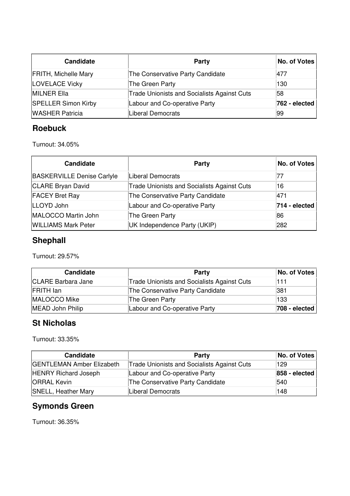| <b>Candidate</b>            | <b>Party</b>                                       | No. of Votes  |
|-----------------------------|----------------------------------------------------|---------------|
| <b>FRITH, Michelle Mary</b> | The Conservative Party Candidate                   | 477           |
| <b>LOVELACE Vicky</b>       | The Green Party                                    | 130           |
| <b>MILNER Ella</b>          | <b>Trade Unionists and Socialists Against Cuts</b> | 58            |
| <b>SPELLER Simon Kirby</b>  | Labour and Co-operative Party                      | 762 - elected |
| <b>WASHER Patricia</b>      | <b>Liberal Democrats</b>                           | 99            |

#### **Roebuck**

Turnout: 34.05%

| <b>Candidate</b>                  | Party                                              | No. of Votes  |
|-----------------------------------|----------------------------------------------------|---------------|
| <b>BASKERVILLE Denise Carlyle</b> | Liberal Democrats                                  | 77            |
| <b>CLARE Bryan David</b>          | <b>Trade Unionists and Socialists Against Cuts</b> | 16            |
| <b>FACEY Bret Ray</b>             | The Conservative Party Candidate                   | 471           |
| LLOYD John                        | Labour and Co-operative Party                      | 714 - elected |
| MALOCCO Martin John               | The Green Party                                    | 86            |
| <b>WILLIAMS Mark Peter</b>        | UK Independence Party (UKIP)                       | 282           |

# **Shephall**

Turnout: 29.57%

| <b>Candidate</b>          | Party                                              | No. of Votes  |
|---------------------------|----------------------------------------------------|---------------|
| <b>CLARE Barbara Jane</b> | <b>Trade Unionists and Socialists Against Cuts</b> | 111           |
| <b>FRITH lan</b>          | The Conservative Party Candidate                   | 381           |
| MALOCCO Mike              | The Green Party                                    | 133           |
| MEAD John Philip          | Labour and Co-operative Party                      | 708 - elected |

### **St Nicholas**

Turnout: 33.35%

| <b>Candidate</b>                 | Party                                              | No. of Votes  |
|----------------------------------|----------------------------------------------------|---------------|
| <b>GENTLEMAN Amber Elizabeth</b> | <b>Trade Unionists and Socialists Against Cuts</b> | 129           |
| <b>HENRY Richard Joseph</b>      | Labour and Co-operative Party                      | 858 - elected |
| <b>ORRAL Kevin</b>               | The Conservative Party Candidate                   | 540           |
| <b>SNELL, Heather Mary</b>       | Liberal Democrats                                  | 148           |

# **Symonds Green**

Turnout: 36.35%